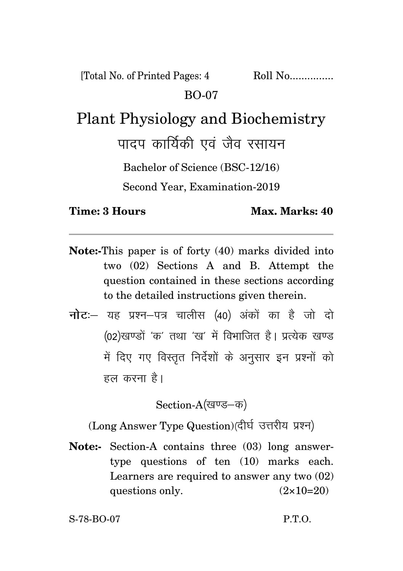[Total No. of Printed Pages: 4 Roll No................. BO-07

## Plant Physiology and Biochemistry

पादप कार्यिकी एवं जैव रसायन

Bachelor of Science (BSC-12/16)

Second Year, Examination-2019

**Time: 3 Hours Max. Marks: 40** 

- **Note:-**This paper is of forty (40) marks divided into two (02) Sections A and B. Attempt the question contained in these sections according to the detailed instructions given therein.
- **नोट**:– यह प्रश्न–पत्र चालीस (40) अंकों का है जो दो (02)खण्डों 'क' तथा 'ख' में विभाजित है। प्रत्येक खण्ड में दिए गए विस्तत निर्देशों के अनसार इन प्रश्नों को हल करना है।

Section-A(खण्ड-क)

(Long Answer Type Question)(दीर्घ उत्तरीय प्रश्न)

**Note:-** Section-A contains three (03) long answertype questions of ten (10) marks each. Learners are required to answer any two (02) questions only.  $(2 \times 10=20)$ 

S-78-BO-07 P.T.O.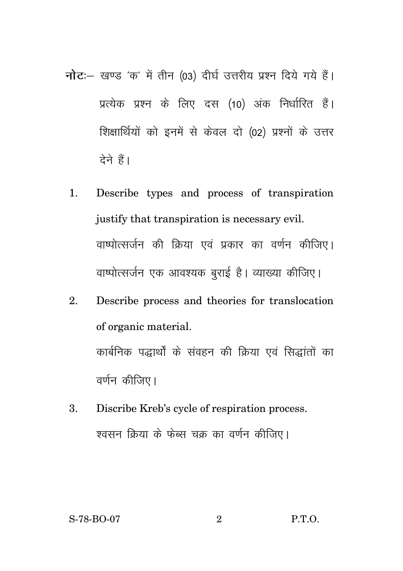- नोट :- खण्ड 'क' में तीन (03) दीर्घ उत्तरीय प्रश्न दिये गये हैं। प्रत्येक प्रश्न के लिए दस (10) अंक निर्धारित हैं। शिक्षार्थियों को इनमें से केवल दो (02) प्रश्नों के उत्तर देने हैं।
	- $\mathbf{1}$ . Describe types and process of transpiration justify that transpiration is necessary evil. वाष्पोत्सर्जन की क्रिया एवं प्रकार का वर्णन कीजिए। वाष्पोत्सर्जन एक आवश्यक बराई है। व्याख्या कीजिए।
	- Describe process and theories for translocation  $\mathfrak{D}$ of organic material. कार्बनिक पद्धार्थों के संवहन की क्रिया एवं सिद्धांतों का वर्णन कीजिए।
	- Discribe Kreb's cycle of respiration process. 3. श्वसन क्रिया के फेब्स चक्र का वर्णन कीजिए।

 $\overline{2}$ 

P.T.O.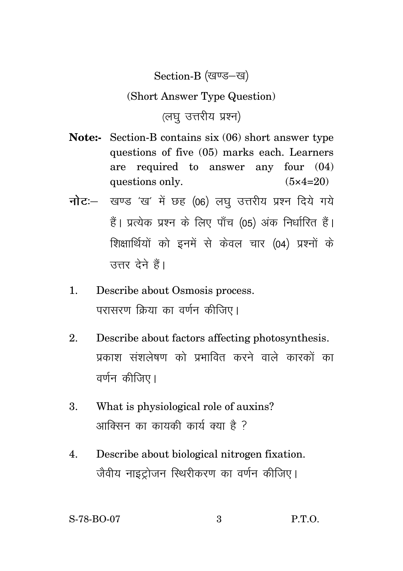Section-B (खण्ड-ख)

## (Short Answer Type Question)

(लघ उत्तरीय प्रश्न)

- **Note:-** Section-B contains six (06) short answer type questions of five (05) marks each. Learners are required to answer any four (04) questions only.  $(5 \times 4=20)$
- **नोट:** खण्ड 'ख' में छह (06) लघु उत्तरीय प्रश्न दिये गये हैं। प्रत्येक प्रश्न के लिए पाँच (05) अंक निर्धारित हैं। शिक्षार्थियों को इनमें से केवल चार (04) प्रश्नों के उत्तर देने हैं।
- 1. Describe about Osmosis process. परासरण क्रिया का वर्णन कीजिए।
- 2. Describe about factors affecting photosynthesis. प्रकाश संशलेषण को प्रभावित करने वाले कारकों का वर्णन कीजिए।
- 3. What is physiological role of auxins? आक्सिन का कायकी कार्य क्या है ?
- 4. Describe about biological nitrogen fixation. जैवीय नाइटोजन स्थिरीकरण का वर्णन कीजिए।